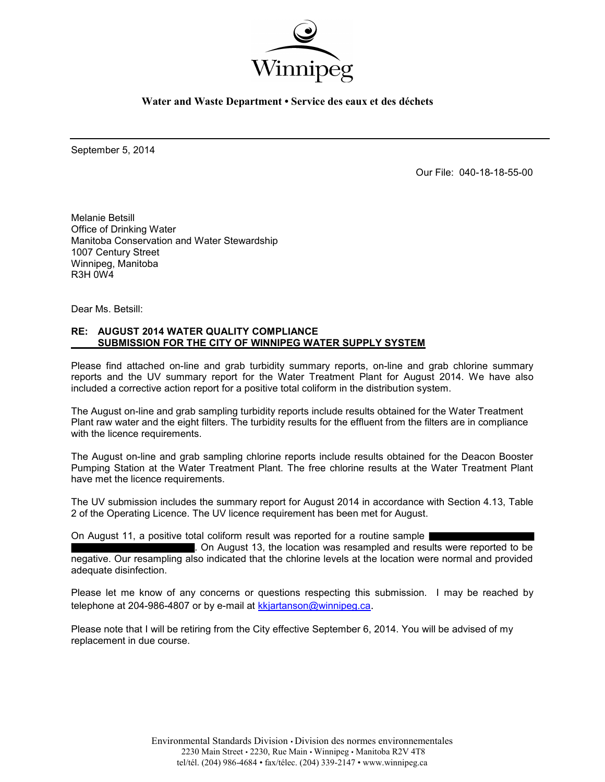

**Water and Waste Department • Service des eaux et des déchets**

September 5, 2014

Our File: 040-18-18-55-00

Melanie Betsill Office of Drinking Water Manitoba Conservation and Water Stewardship 1007 Century Street Winnipeg, Manitoba R3H 0W4

Dear Ms. Betsill:

#### **RE: AUGUST 2014 WATER QUALITY COMPLIANCE SUBMISSION FOR THE CITY OF WINNIPEG WATER SUPPLY SYSTEM**

Please find attached on-line and grab turbidity summary reports, on-line and grab chlorine summary reports and the UV summary report for the Water Treatment Plant for August 2014. We have also included a corrective action report for a positive total coliform in the distribution system.

The August on-line and grab sampling turbidity reports include results obtained for the Water Treatment Plant raw water and the eight filters. The turbidity results for the effluent from the filters are in compliance with the licence requirements.

The August on-line and grab sampling chlorine reports include results obtained for the Deacon Booster Pumping Station at the Water Treatment Plant. The free chlorine results at the Water Treatment Plant have met the licence requirements.

The UV submission includes the summary report for August 2014 in accordance with Section 4.13, Table 2 of the Operating Licence. The UV licence requirement has been met for August.

On August 11, a positive total coliform result was reported for a routine sample

. On August 13, the location was resampled and results were reported to be negative. Our resampling also indicated that the chlorine levels at the location were normal and provided adequate disinfection.

Please let me know of any concerns or questions respecting this submission. I may be reached by telephone at 204-986-4807 or by e-mail at [kkjartanson@winnipeg.ca](mailto:kkjartanson@winnipeg.ca).

Please note that I will be retiring from the City effective September 6, 2014. You will be advised of my replacement in due course.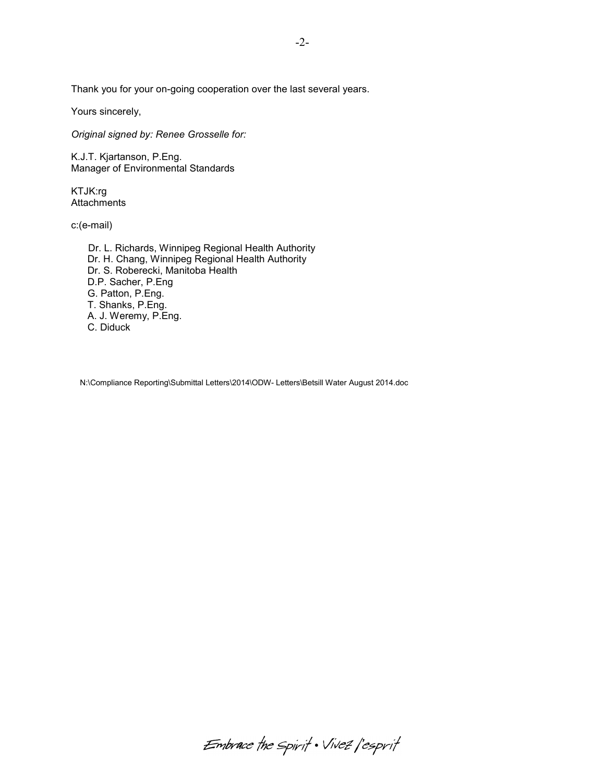Thank you for your on-going cooperation over the last several years.

Yours sincerely,

*Original signed by: Renee Grosselle for:* 

K.J.T. Kjartanson, P.Eng. Manager of Environmental Standards

KTJK:rg **Attachments** 

c:(e-mail)

 Dr. L. Richards, Winnipeg Regional Health Authority Dr. H. Chang, Winnipeg Regional Health Authority Dr. S. Roberecki, Manitoba Health D.P. Sacher, P.Eng G. Patton, P.Eng. T. Shanks, P.Eng. A. J. Weremy, P.Eng. C. Diduck

N:\Compliance Reporting\Submittal Letters\2014\ODW- Letters\Betsill Water August 2014.doc

-2-

Embrace the spirit . Vivez l'esprit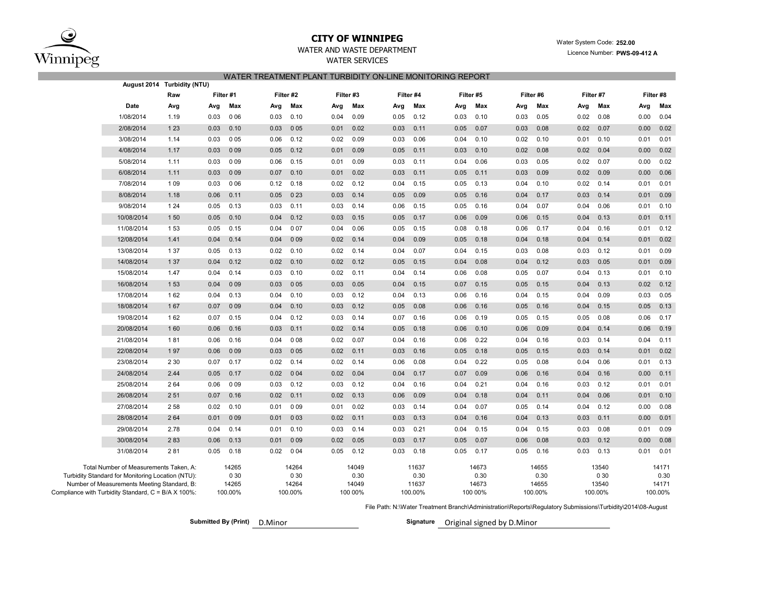

#### **CITY OF WINNIPEG**

## WATER SERVICES

| WATER TREATMENT PLANT TURBIDITY ON-LINE MONITORING REPORT |  |
|-----------------------------------------------------------|--|
|                                                           |  |

| August 2014                                                                                        | Turbidity (NTU) |      |                  |      |                  |      |                  |      |                  |      |                  |      |                  |      |                  |      |                  |
|----------------------------------------------------------------------------------------------------|-----------------|------|------------------|------|------------------|------|------------------|------|------------------|------|------------------|------|------------------|------|------------------|------|------------------|
|                                                                                                    | Raw             |      | Filter #1        |      | Filter #2        |      | Filter #3        |      | Filter #4        |      | Filter #5        |      | Filter #6        |      | Filter #7        |      | Filter #8        |
| Date                                                                                               | Avg             | Avg  | Max              | Avg  | Max              | Avg  | Max              | Avg  | Max              | Avg  | Max              | Avg  | Max              | Avg  | Max              | Avg  | Max              |
| 1/08/2014                                                                                          | 1.19            | 0.03 | 006              | 0.03 | 0.10             | 0.04 | 0.09             | 0.05 | 0.12             | 0.03 | 0.10             | 0.03 | 0.05             | 0.02 | 0.08             | 0.00 | 0.04             |
| 2/08/2014                                                                                          | 1 2 3           | 0.03 | 0.10             | 0.03 | 005              | 0.01 | 0.02             | 0.03 | 0.11             | 0.05 | 0.07             | 0.03 | 0.08             | 0.02 | 0.07             | 0.00 | 0.02             |
| 3/08/2014                                                                                          | 1.14            | 0.03 | 005              | 0.06 | 0.12             | 0.02 | 0.09             | 0.03 | 0.06             | 0.04 | 0.10             | 0.02 | 0.10             | 0.01 | 0.10             | 0.01 | 0.01             |
| 4/08/2014                                                                                          | 1.17            | 0.03 | 009              | 0.05 | 0.12             | 0.01 | 0.09             | 0.05 | 0.11             | 0.03 | 0.10             | 0.02 | 0.08             | 0.02 | 0.04             | 0.00 | 0.02             |
| 5/08/2014                                                                                          | 1.11            | 0.03 | 009              | 0.06 | 0.15             | 0.01 | 0.09             | 0.03 | 0.11             | 0.04 | 0.06             | 0.03 | 0.05             | 0.02 | 0.07             | 0.00 | 0.02             |
| 6/08/2014                                                                                          | 1.11            | 0.03 | 009              | 0.07 | 0.10             | 0.01 | 0.02             | 0.03 | 0.11             | 0.05 | 0.11             | 0.03 | 0.09             | 0.02 | 0.09             | 0.00 | 0.06             |
| 7/08/2014                                                                                          | 1 0 9           | 0.03 | 006              | 0.12 | 0.18             | 0.02 | 0.12             | 0.04 | 0.15             | 0.05 | 0.13             | 0.04 | 0.10             | 0.02 | 0.14             | 0.01 | 0.01             |
| 8/08/2014                                                                                          | 1.18            | 0.06 | 0.11             | 0.05 | 023              | 0.03 | 0.14             | 0.05 | 0.09             | 0.05 | 0.16             | 0.04 | 0.17             | 0.03 | 0.14             | 0.01 | 0.09             |
| 9/08/2014                                                                                          | 1 2 4           | 0.05 | 0.13             | 0.03 | 0.11             | 0.03 | 0.14             | 0.06 | 0.15             | 0.05 | 0.16             | 0.04 | 0.07             | 0.04 | 0.06             | 0.01 | 0.10             |
| 10/08/2014                                                                                         | 1 50            | 0.05 | 0.10             | 0.04 | 0.12             | 0.03 | 0.15             | 0.05 | 0.17             | 0.06 | 0.09             | 0.06 | 0.15             | 0.04 | 0.13             | 0.01 | 0.11             |
| 11/08/2014                                                                                         | 1 5 3           | 0.05 | 0.15             | 0.04 | 007              | 0.04 | 0.06             | 0.05 | 0.15             | 0.08 | 0.18             | 0.06 | 0.17             | 0.04 | 0.16             | 0.01 | 0.12             |
| 12/08/2014                                                                                         | 1.41            | 0.04 | 0.14             | 0.04 | 009              | 0.02 | 0.14             | 0.04 | 0.09             | 0.05 | 0.18             | 0.04 | 0.18             | 0.04 | 0.14             | 0.01 | 0.02             |
| 13/08/2014                                                                                         | 1 37            | 0.05 | 0.13             | 0.02 | 0.10             | 0.02 | 0.14             | 0.04 | 0.07             | 0.04 | 0.15             | 0.03 | 0.08             | 0.03 | 0.12             | 0.01 | 0.09             |
| 14/08/2014                                                                                         | 1 3 7           | 0.04 | 0.12             | 0.02 | 0.10             | 0.02 | 0.12             | 0.05 | 0.15             | 0.04 | 0.08             | 0.04 | 0.12             | 0.03 | 0.05             | 0.01 | 0.09             |
| 15/08/2014                                                                                         | 1.47            | 0.04 | 0.14             | 0.03 | 0.10             | 0.02 | 0.11             | 0.04 | 0.14             | 0.06 | 0.08             | 0.05 | 0.07             | 0.04 | 0.13             | 0.01 | 0.10             |
| 16/08/2014                                                                                         | 1 5 3           | 0.04 | 009              | 0.03 | 005              | 0.03 | 0.05             | 0.04 | 0.15             | 0.07 | 0.15             | 0.05 | 0.15             | 0.04 | 0.13             | 0.02 | 0.12             |
| 17/08/2014                                                                                         | 162             | 0.04 | 0.13             | 0.04 | 0.10             | 0.03 | 0.12             | 0.04 | 0.13             | 0.06 | 0.16             | 0.04 | 0.15             | 0.04 | 0.09             | 0.03 | 0.05             |
| 18/08/2014                                                                                         | 167             | 0.07 | 009              | 0.04 | 0.10             | 0.03 | 0.12             | 0.05 | 0.08             | 0.06 | 0.16             | 0.05 | 0.16             | 0.04 | 0.15             | 0.05 | 0.13             |
| 19/08/2014                                                                                         | 162             | 0.07 | 0.15             | 0.04 | 0.12             | 0.03 | 0.14             | 0.07 | 0.16             | 0.06 | 0.19             | 0.05 | 0.15             | 0.05 | 0.08             | 0.06 | 0.17             |
| 20/08/2014                                                                                         | 160             | 0.06 | 0.16             | 0.03 | 0.11             | 0.02 | 0.14             | 0.05 | 0.18             | 0.06 | 0.10             | 0.06 | 0.09             | 0.04 | 0.14             | 0.06 | 0.19             |
| 21/08/2014                                                                                         | 181             | 0.06 | 0.16             | 0.04 | 008              | 0.02 | 0.07             | 0.04 | 0.16             | 0.06 | 0.22             | 0.04 | 0.16             | 0.03 | 0.14             | 0.04 | 0.11             |
| 22/08/2014                                                                                         | 197             | 0.06 | 009              | 0.03 | 005              | 0.02 | 0.11             | 0.03 | 0.16             | 0.05 | 0.18             | 0.05 | 0.15             | 0.03 | 0.14             | 0.01 | 0.02             |
| 23/08/2014                                                                                         | 2 3 0           | 0.07 | 0.17             | 0.02 | 0.14             | 0.02 | 0.14             | 0.06 | 0.08             | 0.04 | 0.22             | 0.05 | 0.08             | 0.04 | 0.06             | 0.01 | 0.13             |
| 24/08/2014                                                                                         | 2.44            | 0.05 | 0.17             | 0.02 | 004              | 0.02 | 0.04             | 0.04 | 0.17             | 0.07 | 0.09             | 0.06 | 0.16             | 0.04 | 0.16             | 0.00 | 0.11             |
| 25/08/2014                                                                                         | 264             | 0.06 | 009              | 0.03 | 0.12             | 0.03 | 0.12             | 0.04 | 0.16             | 0.04 | 0.21             | 0.04 | 0.16             | 0.03 | 0.12             | 0.01 | 0.01             |
| 26/08/2014                                                                                         | 251             | 0.07 | 0.16             | 0.02 | 0.11             | 0.02 | 0.13             | 0.06 | 0.09             | 0.04 | 0.18             | 0.04 | 0.11             | 0.04 | 0.06             | 0.01 | 0.10             |
| 27/08/2014                                                                                         | 258             | 0.02 | 0.10             | 0.01 | 009              | 0.01 | 0.02             | 0.03 | 0.14             | 0.04 | 0.07             | 0.05 | 0.14             | 0.04 | 0.12             | 0.00 | 0.08             |
| 28/08/2014                                                                                         | 264             | 0.01 | 009              | 0.01 | 003              | 0.02 | 0.11             | 0.03 | 0.13             | 0.04 | 0.16             | 0.04 | 0.13             | 0.03 | 0.11             | 0.00 | 0.01             |
| 29/08/2014                                                                                         | 2.78            | 0.04 | 0.14             | 0.01 | 0.10             | 0.03 | 0.14             | 0.03 | 0.21             | 0.04 | 0.15             | 0.04 | 0.15             | 0.03 | 0.08             | 0.01 | 0.09             |
| 30/08/2014                                                                                         | 283             | 0.06 | 0.13             | 0.01 | 009              | 0.02 | 0.05             | 0.03 | 0.17             | 0.05 | 0.07             | 0.06 | 0.08             | 0.03 | 0.12             | 0.00 | 0.08             |
| 31/08/2014                                                                                         | 281             | 0.05 | 0.18             | 0.02 | 0 0 4            | 0.05 | 0.12             | 0.03 | 0.18             | 0.05 | 0.17             | 0.05 | 0.16             | 0.03 | 0.13             | 0.01 | 0.01             |
| Total Number of Measurements Taken, A:                                                             |                 |      | 14265            |      | 14264            |      | 14049            |      | 11637            |      | 14673            |      | 14655            |      | 13540            |      | 14171            |
| Turbidity Standard for Monitoring Location (NTU):                                                  |                 |      | 0 30             |      | 0 30             |      | 0.30             |      | 0.30             |      | 0.30             |      | 0.30             |      | 0 30             |      | 0.30             |
| Number of Measurements Meeting Standard, B:<br>Compliance with Turbidity Standard, C = B/A X 100%: |                 |      | 14265<br>100.00% |      | 14264<br>100.00% |      | 14049<br>100 00% |      | 11637<br>100.00% |      | 14673<br>100 00% |      | 14655<br>100.00% |      | 13540<br>100.00% |      | 14171<br>100.00% |
|                                                                                                    |                 |      |                  |      |                  |      |                  |      |                  |      |                  |      |                  |      |                  |      |                  |

File Path: N:\Water Treatment Branch\Administration\Reports\Regulatory Submissions\Turbidity\2014\08-August

**Submitted By (Print) D.Minor** 

Signature Original signed by D.Minor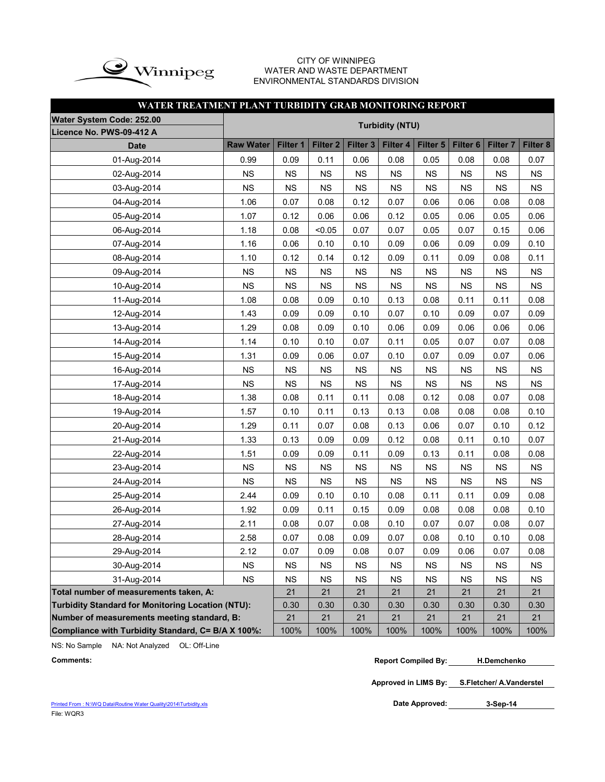

#### CITY OF WINNIPEG WATER AND WASTE DEPARTMENT ENVIRONMENTAL STANDARDS DIVISION

## **WATER TREATMENT PLANT TURBIDITY GRAB MONITORING REPORT**

| Water System Code: 252.00                                |                  |           |                     |           |                        |           |                     |                     |           |
|----------------------------------------------------------|------------------|-----------|---------------------|-----------|------------------------|-----------|---------------------|---------------------|-----------|
| Licence No. PWS-09-412 A                                 |                  |           |                     |           | <b>Turbidity (NTU)</b> |           |                     |                     |           |
| <b>Date</b>                                              | <b>Raw Water</b> | Filter 1  | Filter <sub>2</sub> | Filter 3  | Filter 4               | Filter 5  | Filter <sub>6</sub> | Filter <sub>7</sub> | Filter 8  |
| 01-Aug-2014                                              | 0.99             | 0.09      | 0.11                | 0.06      | 0.08                   | 0.05      | 0.08                | 0.08                | 0.07      |
| 02-Aug-2014                                              | <b>NS</b>        | <b>NS</b> | <b>NS</b>           | <b>NS</b> | <b>NS</b>              | <b>NS</b> | <b>NS</b>           | <b>NS</b>           | <b>NS</b> |
| 03-Aug-2014                                              | <b>NS</b>        | <b>NS</b> | <b>NS</b>           | <b>NS</b> | <b>NS</b>              | <b>NS</b> | <b>NS</b>           | NS                  | <b>NS</b> |
| 04-Aug-2014                                              | 1.06             | 0.07      | 0.08                | 0.12      | 0.07                   | 0.06      | 0.06                | 0.08                | 0.08      |
| 05-Aug-2014                                              | 1.07             | 0.12      | 0.06                | 0.06      | 0.12                   | 0.05      | 0.06                | 0.05                | 0.06      |
| 06-Aug-2014                                              | 1.18             | 0.08      | < 0.05              | 0.07      | 0.07                   | 0.05      | 0.07                | 0.15                | 0.06      |
| 07-Aug-2014                                              | 1.16             | 0.06      | 0.10                | 0.10      | 0.09                   | 0.06      | 0.09                | 0.09                | 0.10      |
| 08-Aug-2014                                              | 1.10             | 0.12      | 0.14                | 0.12      | 0.09                   | 0.11      | 0.09                | 0.08                | 0.11      |
| 09-Aug-2014                                              | <b>NS</b>        | NS        | <b>NS</b>           | NS        | <b>NS</b>              | <b>NS</b> | NS                  | <b>NS</b>           | <b>NS</b> |
| 10-Aug-2014                                              | <b>NS</b>        | <b>NS</b> | <b>NS</b>           | <b>NS</b> | <b>NS</b>              | <b>NS</b> | <b>NS</b>           | <b>NS</b>           | <b>NS</b> |
| 11-Aug-2014                                              | 1.08             | 0.08      | 0.09                | 0.10      | 0.13                   | 0.08      | 0.11                | 0.11                | 0.08      |
| 12-Aug-2014                                              | 1.43             | 0.09      | 0.09                | 0.10      | 0.07                   | 0.10      | 0.09                | 0.07                | 0.09      |
| 13-Aug-2014                                              | 1.29             | 0.08      | 0.09                | 0.10      | 0.06                   | 0.09      | 0.06                | 0.06                | 0.06      |
| 14-Aug-2014                                              | 1.14             | 0.10      | 0.10                | 0.07      | 0.11                   | 0.05      | 0.07                | 0.07                | 0.08      |
| 15-Aug-2014                                              | 1.31             | 0.09      | 0.06                | 0.07      | 0.10                   | 0.07      | 0.09                | 0.07                | 0.06      |
| 16-Aug-2014                                              | <b>NS</b>        | <b>NS</b> | <b>NS</b>           | <b>NS</b> | <b>NS</b>              | <b>NS</b> | <b>NS</b>           | <b>NS</b>           | <b>NS</b> |
| 17-Aug-2014                                              | <b>NS</b>        | <b>NS</b> | <b>NS</b>           | <b>NS</b> | <b>NS</b>              | NS        | NS                  | <b>NS</b>           | NS        |
| 18-Aug-2014                                              | 1.38             | 0.08      | 0.11                | 0.11      | 0.08                   | 0.12      | 0.08                | 0.07                | 0.08      |
| 19-Aug-2014                                              | 1.57             | 0.10      | 0.11                | 0.13      | 0.13                   | 0.08      | 0.08                | 0.08                | 0.10      |
| 20-Aug-2014                                              | 1.29             | 0.11      | 0.07                | 0.08      | 0.13                   | 0.06      | 0.07                | 0.10                | 0.12      |
| 21-Aug-2014                                              | 1.33             | 0.13      | 0.09                | 0.09      | 0.12                   | 0.08      | 0.11                | 0.10                | 0.07      |
| 22-Aug-2014                                              | 1.51             | 0.09      | 0.09                | 0.11      | 0.09                   | 0.13      | 0.11                | 0.08                | 0.08      |
| 23-Aug-2014                                              | <b>NS</b>        | <b>NS</b> | <b>NS</b>           | <b>NS</b> | <b>NS</b>              | <b>NS</b> | <b>NS</b>           | <b>NS</b>           | <b>NS</b> |
| 24-Aug-2014                                              | <b>NS</b>        | <b>NS</b> | <b>NS</b>           | <b>NS</b> | <b>NS</b>              | <b>NS</b> | <b>NS</b>           | <b>NS</b>           | <b>NS</b> |
| 25-Aug-2014                                              | 2.44             | 0.09      | 0.10                | 0.10      | 0.08                   | 0.11      | 0.11                | 0.09                | 0.08      |
| 26-Aug-2014                                              | 1.92             | 0.09      | 0.11                | 0.15      | 0.09                   | 0.08      | 0.08                | 0.08                | 0.10      |
| 27-Aug-2014                                              | 2.11             | 0.08      | 0.07                | 0.08      | 0.10                   | 0.07      | 0.07                | 0.08                | 0.07      |
| 28-Aug-2014                                              | 2.58             | 0.07      | 0.08                | 0.09      | 0.07                   | 0.08      | 0.10                | 0.10                | 0.08      |
| 29-Aug-2014                                              | 2.12             | 0.07      | 0.09                | 0.08      | 0.07                   | 0.09      | 0.06                | 0.07                | 0.08      |
| 30-Aug-2014                                              | <b>NS</b>        | <b>NS</b> | <b>NS</b>           | <b>NS</b> | <b>NS</b>              | <b>NS</b> | <b>NS</b>           | <b>NS</b>           | <b>NS</b> |
| 31-Aug-2014                                              | <b>NS</b>        | <b>NS</b> | <b>NS</b>           | <b>NS</b> | <b>NS</b>              | <b>NS</b> | <b>NS</b>           | <b>NS</b>           | <b>NS</b> |
| Total number of measurements taken, A:                   |                  | 21        | 21                  | 21        | 21                     | 21        | 21                  | 21                  | 21        |
| <b>Turbidity Standard for Monitoring Location (NTU):</b> |                  | 0.30      | 0.30                | 0.30      | 0.30                   | 0.30      | 0.30                | 0.30                | 0.30      |
| Number of measurements meeting standard, B:              |                  | 21        | 21                  | 21        | 21                     | 21        | 21                  | 21                  | 21        |
| Compliance with Turbidity Standard, C= B/A X 100%:       |                  | 100%      | 100%                | 100%      | 100%                   | 100%      | 100%                | 100%                | 100%      |

NS: No Sample NA: Not Analyzed OL: Off-Line

**Approved in LIMS By: S.Fletcher/ A.Vanderstel**

Printed From : N:\WQ Data\Routine Water Quality\2014\Turbidity.xls File: WQR3

Date Approved: 3-Sep-14

**Comments: Report Compiled By: H.Demchenko**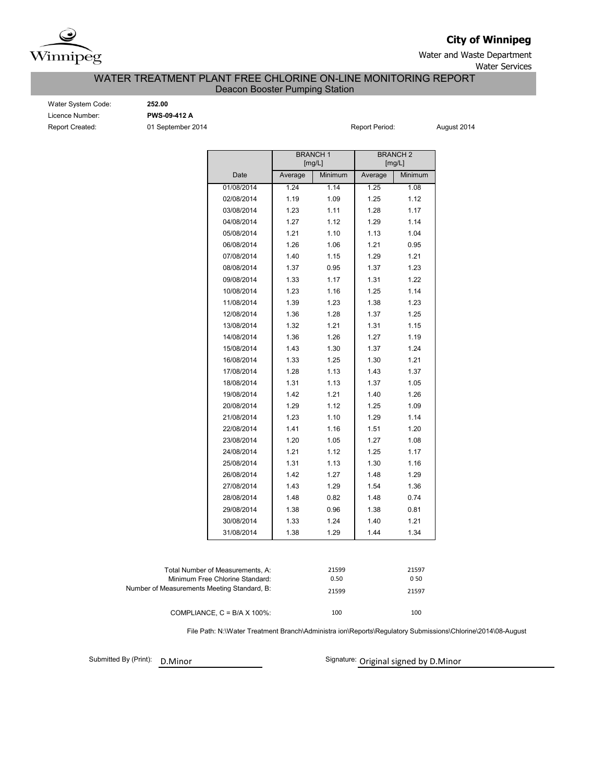

**City of Winnipeg**

Water and Waste Department Water Services

#### Deacon Booster Pumping Station WATER TREATMENT PLANT FREE CHLORINE ON-LINE MONITORING REPORT

Report Created: **01 September 2014** Report Period: August 2014 Report Period: August 2014 Water System Code: **252.00** Licence Number: **PWS-09-412 A**

|                                             |                                                                     |         | <b>BRANCH1</b>    | <b>BRANCH2</b><br>[mg/L] |              |  |  |
|---------------------------------------------|---------------------------------------------------------------------|---------|-------------------|--------------------------|--------------|--|--|
|                                             | Date                                                                | Average | [mg/L]<br>Minimum | Average                  | Minimum      |  |  |
|                                             |                                                                     |         |                   |                          |              |  |  |
|                                             | 01/08/2014                                                          | 1.24    | 1.14              | 1.25                     | 1.08         |  |  |
|                                             | 02/08/2014                                                          | 1.19    | 1.09              | 1.25                     | 1.12         |  |  |
|                                             | 03/08/2014                                                          | 1.23    | 1.11              | 1.28                     | 1.17         |  |  |
|                                             | 04/08/2014                                                          | 1.27    | 1.12              | 1.29                     | 1.14         |  |  |
|                                             | 05/08/2014                                                          | 1.21    | 1.10              | 1.13                     | 1.04         |  |  |
|                                             | 06/08/2014                                                          | 1.26    | 1.06              | 1.21                     | 0.95         |  |  |
|                                             | 07/08/2014                                                          | 1.40    | 1.15              | 1.29                     | 1.21         |  |  |
|                                             | 08/08/2014                                                          | 1.37    | 0.95              | 1.37                     | 1.23         |  |  |
|                                             | 09/08/2014                                                          | 1.33    | 1.17              | 1.31                     | 1.22         |  |  |
|                                             | 10/08/2014                                                          | 1.23    | 1.16              | 1.25                     | 1.14         |  |  |
|                                             | 11/08/2014                                                          | 1.39    | 1.23              | 1.38                     | 1.23         |  |  |
|                                             | 12/08/2014                                                          | 1.36    | 1.28              | 1.37                     | 1.25         |  |  |
|                                             | 13/08/2014                                                          | 1.32    | 1.21              | 1.31                     | 1.15         |  |  |
|                                             | 14/08/2014                                                          | 1.36    | 1.26              | 1.27                     | 1.19         |  |  |
|                                             | 15/08/2014                                                          | 1.43    | 1.30              | 1.37                     | 1.24         |  |  |
|                                             | 16/08/2014                                                          | 1.33    | 1.25              | 1.30                     | 1.21         |  |  |
|                                             | 17/08/2014                                                          | 1.28    | 1.13              | 1.43                     | 1.37         |  |  |
|                                             | 18/08/2014                                                          | 1.31    | 1.13              | 1.37                     | 1.05         |  |  |
|                                             | 19/08/2014                                                          | 1.42    | 1.21              | 1.40                     | 1.26         |  |  |
|                                             | 20/08/2014                                                          | 1.29    | 1.12              | 1.25                     | 1.09         |  |  |
|                                             | 21/08/2014                                                          | 1.23    | 1.10              | 1.29                     | 1.14         |  |  |
|                                             | 22/08/2014                                                          | 1.41    | 1.16              | 1.51                     | 1.20         |  |  |
|                                             | 23/08/2014                                                          | 1.20    | 1.05              | 1.27                     | 1.08         |  |  |
|                                             | 24/08/2014                                                          | 1.21    | 1.12              | 1.25                     | 1.17         |  |  |
|                                             | 25/08/2014                                                          | 1.31    | 1.13              | 1.30                     | 1.16         |  |  |
|                                             | 26/08/2014                                                          | 1.42    | 1.27              | 1.48                     | 1.29         |  |  |
|                                             | 27/08/2014                                                          | 1.43    | 1.29              | 1.54                     | 1.36         |  |  |
|                                             | 28/08/2014                                                          | 1.48    | 0.82              | 1.48                     | 0.74         |  |  |
|                                             | 29/08/2014                                                          | 1.38    | 0.96              | 1.38                     | 0.81         |  |  |
|                                             | 30/08/2014                                                          | 1.33    | 1.24              | 1.40                     | 1.21         |  |  |
|                                             | 31/08/2014                                                          | 1.38    | 1.29              | 1.44                     | 1.34         |  |  |
|                                             |                                                                     |         |                   |                          |              |  |  |
|                                             | Total Number of Measurements, A:<br>Minimum Free Chlorine Standard: |         | 21599<br>0.50     |                          | 21597<br>050 |  |  |
| Number of Measurements Meeting Standard, B: |                                                                     |         | 21599             |                          | 21597        |  |  |
|                                             |                                                                     |         |                   |                          |              |  |  |

File Path: N:\Water Treatment Branch\Administra ion\Reports\Regulatory Submissions\Chlorine\2014\08-August

100 100

Submitted By (Print): D.Minor

COMPLIANCE, C = B/A X 100%:

Signature: Original signed by D.Minor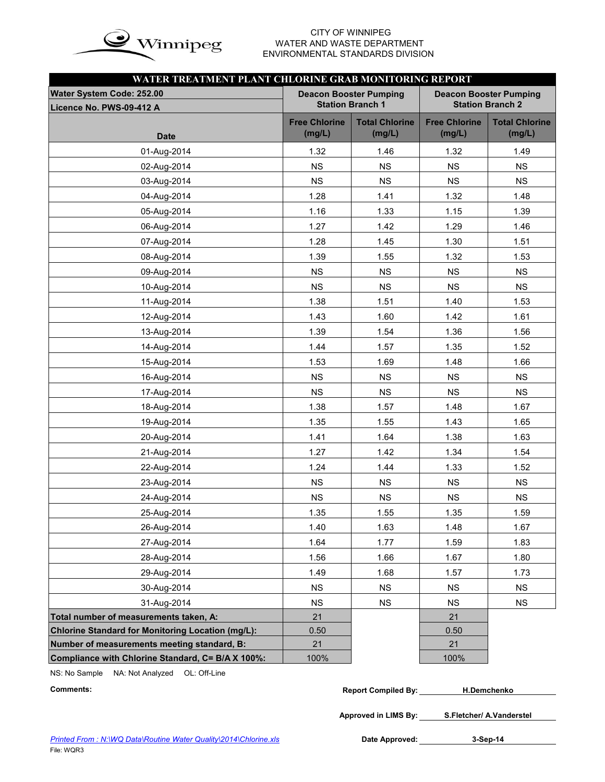

# WATER AND WASTE DEPARTMENT ENVIRONMENTAL STANDARDS DIVISION

| WATER TREATMENT PLANT CHLORINE GRAB MONITORING REPORT    |                                |                                                          |                                                          |                                 |  |  |  |  |  |  |  |  |
|----------------------------------------------------------|--------------------------------|----------------------------------------------------------|----------------------------------------------------------|---------------------------------|--|--|--|--|--|--|--|--|
| Water System Code: 252.00<br>Licence No. PWS-09-412 A    |                                | <b>Deacon Booster Pumping</b><br><b>Station Branch 1</b> | <b>Deacon Booster Pumping</b><br><b>Station Branch 2</b> |                                 |  |  |  |  |  |  |  |  |
| <b>Date</b>                                              | <b>Free Chlorine</b><br>(mg/L) | <b>Total Chlorine</b><br>(mg/L)                          | <b>Free Chlorine</b><br>(mg/L)                           | <b>Total Chlorine</b><br>(mg/L) |  |  |  |  |  |  |  |  |
| 01-Aug-2014                                              | 1.32                           | 1.46                                                     | 1.32                                                     | 1.49                            |  |  |  |  |  |  |  |  |
| 02-Aug-2014                                              | <b>NS</b>                      | <b>NS</b>                                                | <b>NS</b>                                                | <b>NS</b>                       |  |  |  |  |  |  |  |  |
| 03-Aug-2014                                              | <b>NS</b>                      | <b>NS</b>                                                | <b>NS</b>                                                | <b>NS</b>                       |  |  |  |  |  |  |  |  |
| 04-Aug-2014                                              | 1.28                           | 1.41                                                     | 1.32                                                     | 1.48                            |  |  |  |  |  |  |  |  |
| 05-Aug-2014                                              | 1.16                           | 1.33                                                     | 1.15                                                     | 1.39                            |  |  |  |  |  |  |  |  |
| 06-Aug-2014                                              | 1.27                           | 1.42                                                     | 1.29                                                     | 1.46                            |  |  |  |  |  |  |  |  |
| 07-Aug-2014                                              | 1.28                           | 1.45                                                     | 1.30                                                     | 1.51                            |  |  |  |  |  |  |  |  |
| 08-Aug-2014                                              | 1.39                           | 1.55                                                     | 1.32                                                     | 1.53                            |  |  |  |  |  |  |  |  |
| 09-Aug-2014                                              | <b>NS</b>                      | <b>NS</b>                                                | <b>NS</b>                                                | <b>NS</b>                       |  |  |  |  |  |  |  |  |
| 10-Aug-2014                                              | <b>NS</b>                      | <b>NS</b>                                                | <b>NS</b>                                                | <b>NS</b>                       |  |  |  |  |  |  |  |  |
| 11-Aug-2014                                              | 1.38                           | 1.51                                                     | 1.40                                                     | 1.53                            |  |  |  |  |  |  |  |  |
| 12-Aug-2014                                              | 1.43                           | 1.60                                                     | 1.42                                                     | 1.61                            |  |  |  |  |  |  |  |  |
| 13-Aug-2014                                              | 1.39                           | 1.54                                                     | 1.36                                                     | 1.56                            |  |  |  |  |  |  |  |  |
| 14-Aug-2014                                              | 1.44                           | 1.57                                                     | 1.35                                                     | 1.52                            |  |  |  |  |  |  |  |  |
| 15-Aug-2014                                              | 1.53                           | 1.69                                                     | 1.48                                                     | 1.66                            |  |  |  |  |  |  |  |  |
| 16-Aug-2014                                              | NS                             | NS                                                       | NS                                                       | NS                              |  |  |  |  |  |  |  |  |
| 17-Aug-2014                                              | <b>NS</b>                      | <b>NS</b>                                                | <b>NS</b>                                                | NS                              |  |  |  |  |  |  |  |  |
| 18-Aug-2014                                              | 1.38                           | 1.57                                                     | 1.48                                                     | 1.67                            |  |  |  |  |  |  |  |  |
| 19-Aug-2014                                              | 1.35                           | 1.55                                                     | 1.43                                                     | 1.65                            |  |  |  |  |  |  |  |  |
| 20-Aug-2014                                              | 1.41                           | 1.64                                                     | 1.38                                                     | 1.63                            |  |  |  |  |  |  |  |  |
| 21-Aug-2014                                              | 1.27                           | 1.42                                                     | 1.34                                                     | 1.54                            |  |  |  |  |  |  |  |  |
| 22-Aug-2014                                              | 1.24                           | 1.44                                                     | 1.33                                                     | 1.52                            |  |  |  |  |  |  |  |  |
| 23-Aug-2014                                              | <b>NS</b>                      | <b>NS</b>                                                | NS                                                       | NS                              |  |  |  |  |  |  |  |  |
| 24-Aug-2014                                              | NS                             | <b>NS</b>                                                | <b>NS</b>                                                | <b>NS</b>                       |  |  |  |  |  |  |  |  |
| 25-Aug-2014                                              | 1.35                           | 1.55                                                     | 1.35                                                     | 1.59                            |  |  |  |  |  |  |  |  |
| 26-Aug-2014                                              | 1.40                           | 1.63                                                     | 1.48                                                     | 1.67                            |  |  |  |  |  |  |  |  |
| 27-Aug-2014                                              | 1.64                           | 1.77                                                     | 1.59                                                     | 1.83                            |  |  |  |  |  |  |  |  |
| 28-Aug-2014                                              | 1.56                           | 1.66                                                     | 1.67                                                     | 1.80                            |  |  |  |  |  |  |  |  |
| 29-Aug-2014                                              | 1.49                           | 1.68                                                     | 1.57                                                     | 1.73                            |  |  |  |  |  |  |  |  |
| 30-Aug-2014                                              | <b>NS</b>                      | <b>NS</b>                                                | <b>NS</b>                                                | <b>NS</b>                       |  |  |  |  |  |  |  |  |
| 31-Aug-2014                                              | NS                             | <b>NS</b>                                                | <b>NS</b>                                                | <b>NS</b>                       |  |  |  |  |  |  |  |  |
| Total number of measurements taken, A:                   | 21                             |                                                          | 21                                                       |                                 |  |  |  |  |  |  |  |  |
| <b>Chlorine Standard for Monitoring Location (mg/L):</b> | 0.50                           |                                                          | 0.50                                                     |                                 |  |  |  |  |  |  |  |  |
| Number of measurements meeting standard, B:              | 21                             |                                                          | 21                                                       |                                 |  |  |  |  |  |  |  |  |
| Compliance with Chlorine Standard, C= B/A X 100%:        | 100%                           |                                                          | 100%                                                     |                                 |  |  |  |  |  |  |  |  |

NS: No Sample NA: Not Analyzed OL: Off-Line

| Comments: | <b>Report Compiled By:</b> | <b>H.Demchenko</b> |
|-----------|----------------------------|--------------------|
|           |                            |                    |

**Approved in LIMS By: S.Fletcher/ A.Vanderstel**

Date Approved: 3-Sep-14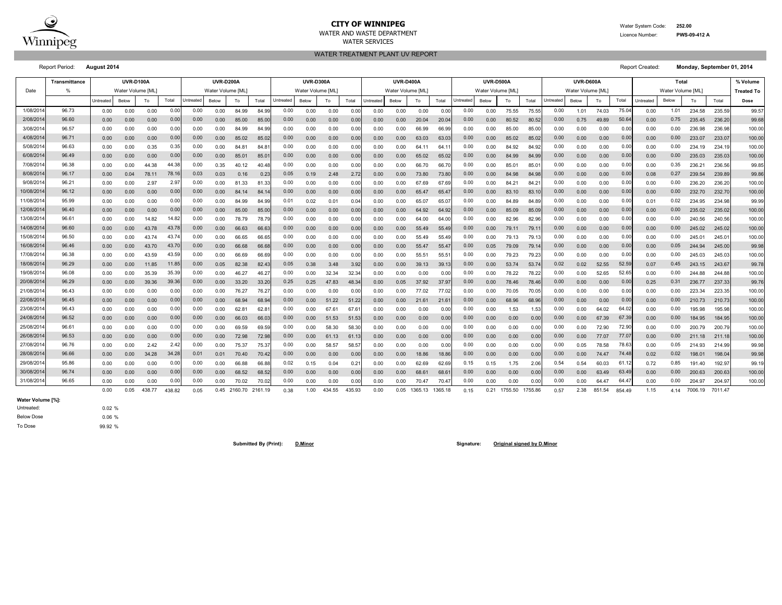

#### WATER SERVICES **CITY OF WINNIPEG** WATER WATER System Code: 252.00 WATER AND WASTE DEPARTMENT

WATER TREATMENT PLANT UV REPORT

Licence Number: **PWS-09-412 A**

Report Period: **August 2014** Report Created:

**Monday, September 01, 2014**

|            | Transmittance |           | <b>UVR-D100A</b> |        |        |                  | <b>UVR-D200A</b> |              |                |          | <b>UVR-D300A</b> |               |        |           | <b>UVR-D400A</b>  |            |         |           | <b>UVR-D500A</b> |         |         |           | <b>UVR-D600A</b>  |        |        |           | Total             |         |         | % Volume          |
|------------|---------------|-----------|------------------|--------|--------|------------------|------------------|--------------|----------------|----------|------------------|---------------|--------|-----------|-------------------|------------|---------|-----------|------------------|---------|---------|-----------|-------------------|--------|--------|-----------|-------------------|---------|---------|-------------------|
| Date       |               |           | Water Volume IML |        |        |                  | Water Volume IML |              |                |          | Water Volume IML |               |        |           | Water Volume [ML] |            |         |           | Water Volume IML |         |         |           | Water Volume [ML] |        |        |           | Water Volume [ML] |         |         | <b>Treated To</b> |
|            |               | Untreated | Below            | To     | Total  | <b>Jntreated</b> | Below            | To           | Total          | Untreate | Below            | To            | Total  | Untreated | Below             | To         | Total   | Untreater | Below            | To      | Total   | Untreated | Below             | To     | Total  | Untreater | Below             | To      | Total   | Dose              |
| 1/08/201   | 96.73         | 0.00      | 0.00             | 0.00   | 0.00   | 0.00             | 0.00             | 84.99        | 84.99          | 0.00     | 0.00             | 0.00          | 0.00   | 0.00      | 0.00              | 0.00       | 0.00    | 0.00      | 0.00             | 75.55   | 75.55   | 0.00      | 1.01              | 74.03  | 75.0   | 0.00      | 1.01              | 234.58  | 235.59  | 99.57             |
| 2/08/2014  | 96.60         | 0.00      | 0.00             | 0.00   | 0.00   | 0.00             | 0.00             | 85.00        | 85.0           | 0.00     | 0.00             | 0.00          | 0.00   | 0.00      | 0.00              | 20.04      | 20.0    | 0.00      | 0.00             | 80.52   | 80.5    | 0.00      | 0.75              | 49.89  | 50.6   | 0.00      | 0.75              | 235.45  | 236.20  | 99.68             |
| 3/08/201   | 96.57         | 0.00      | 0.00             | 0.00   | 0.0    | 0.00             | 0.00             | 84.99        | 84.9           | 0.00     | 0.00             | 0.00          | 0.0    | 0.00      | 0.00              | 66.99      | 66.9    | 0.00      | 0.00             | 85.00   | 85.0    | 0.00      | 0.00              | 0.00   | 0.0    | 0.00      | 0.00              | 236.98  | 236.98  | 100.00            |
| 4/08/2014  | 96.71         | 0.00      | 0.00             | 0.00   | 0.0    | 0.00             | 0.00             | 85.02        | 85.0           | 0.00     | 0.00             | 0.00          | 0.00   | 0.00      | 0.00              | 63.03      | 63.0    | 0.00      | 0.00             | 85.02   | 85.0    | 0.00      | 0.00              | 0.00   | 0.0    | 0.00      | 0.00              | 233.07  | 233.07  | 100.00            |
| 5/08/2014  | 96.63         | 0.00      | 0.00             | 0.35   | 0.35   | 0.00             | 0.00             | 84.8         | $84.8^{\circ}$ | 0.00     | 0.00             | 0.00          | 0.0    | 0.00      | 0.00              | 64.11      | 64.     | 0.00      | 0.00             | 84.92   | 84.9    | 0.00      | 0.00              | 0.00   | 0.00   | 0.00      | 0.00              | 234.19  | 234.19  | 100.00            |
| 6/08/2014  | 96.49         | 0.00      | 0.00             | 0.00   | 0.00   | 0.00             | 0.00             | 85.01        | 85.0           | 0.00     | 0.00             | 0.00          | 0.00   | 0.00      | 0.00              | 65.02      | 65.02   | 0.00      | 0.00             | 84.99   | 84.9    | 0.00      | 0.00              | 0.00   | 0.00   | 0.00      | 0.00              | 235.03  | 235.03  | 100.00            |
| 7/08/2014  | 96.38         | 0.00      | 0.00             | 44.38  | 44.38  | 0.00             | 0.35             | 40.12        | 40.48          | 0.00     | 0.00             | 0.00          | 0.00   | 0.00      | 0.00              | 66.70      | 66.70   | 0.00      | 0.00             | 85.0    | 85.0    | 0.00      | 0.00              | 0.00   | 0.0    | 0.00      | 0.35              | 236.21  | 236.56  | 99.85             |
| 8/08/2014  | 96.17         | 0.00      | 0.04             | 78.1'  | 78.1   | 0.03             | 0.03             | 0.16         | 0.23           | 0.05     | 0.19             | 2.48          | 2.72   | 0.00      | 0.00              | 73.80      | 73.80   | 0.00      | 0.00             | 84.98   | 84.9    | 0.00      | 0.00              | 0.00   | 0.00   | 0.08      | 0.27              | 239.54  | 239.89  | 99.86             |
| 9/08/2014  | 96.21         | 0.00      | 0.00             | 2.97   | 2.97   | 0.00             | 0.00             | 81.33        | 81.33          | 0.00     | 0.00             | 0.00          | 0.00   | 0.00      | 0.00              | .69<br>-67 | 67.6    | 0.00      | 0.00             | 84.21   | 84.2    | 0.00      | 0.00              | 0.00   | 0.0    | 0.00      | 0.00              | 236.20  | 236.20  | 100.00            |
| 10/08/2014 | 96.12         | 0.00      | 0.00             | 0.00   | 0.00   | 0.00             | 0.00             | 84.14        | 84.1           | 0.00     | 0.00             | 0.00          | 0.00   | 0.00      | 0.00              | 65.47      | 65.4    | 0.00      | 0.00             | 83.10   | 83.1    | 0.00      | 0.00              | 0.00   | 0.0    | 0.00      | 0.00              | 232.70  | 232.7   | 100.00            |
| 11/08/2014 | 95.99         | 0.00      | 0.00             | 0.00   | 0.00   | 0.00             | 0.00             | 84.99        | 84.99          | 0.01     | 0.02             | $0.0^{\circ}$ | 0.0    | 0.00      | 0.00              | 65.07      | 65.C    | 0.00      | 0.00             | 84.89   | 84.8    | 0.00      | 0.00              | 0.00   | 0.0    | 0.01      | 0.02              | 234.95  | 234.98  | 99.99             |
| 12/08/2014 | 96.40         | 0.00      | 0.00             | 0.00   | 0.00   | 0.00             | 0.00             | 85.00        | 85.0           | 0.00     | 0.00             | 0.00          | 0.00   | 0.00      | 0.00              | 64.92      | 64.92   | 0.00      | 0.00             | 85.09   | 85.0    | 0.00      | 0.00              | 0.00   | 0.0    | 0.00      | 0.00              | 235.02  | 235.02  | 100.00            |
| 13/08/201  | 96.61         | 0.00      | 0.00             | 14.82  | 14.82  | 0.00             | 0.00             | 78.79        | 78.7           | 0.00     | 0.00             | 0.00          | 0.00   | 0.00      | 0.00              | 64.00      | 64.0    | 0.00      | 0.00             | 82.96   | 82.9    | 0.00      | 0.00              | 0.00   | 0.0    | 0.00      | 0.00              | 240.56  | 240.56  | 100.00            |
| 14/08/2014 | 96.60         | 0.00      | 0.00             | 43.78  | 43.7   | 0.00             | 0.00             | 66.63        | 66.6           | 0.00     | 0.00             | 0.00          | 0.00   | 0.00      | 0.00              | 55.49      | 55.49   | 0.00      | 0.00             | 79.11   | 79.1    | 0.00      | 0.00              | 0.00   | 0.0    | 0.00      | 0.00              | 245.02  | 245.02  | 100.00            |
| 15/08/2014 | 96.50         | 0.00      | 0.00             | 43.74  | 43.7   | 0.00             | 0.00             | 66.65        | 66.65          | 0.00     | 0.00             | 0.00          | 0.0    | 0.00      | 0.00              | 55.49      | 55.4    | 0.00      | 0.00             | 79.13   | 79.1    | 0.00      | 0.00              | 0.00   | 0.0    | 0.00      | 0.00              | 245.01  | 245.01  | 100.00            |
| 16/08/2014 | 96.46         | 0.00      | 0.00             | 43.70  | 43.7   | 0.00             | 0.00             | 66.68        | 66.68          | 0.00     | 0.00             | 0.00          | 0.00   | 0.00      | 0.00              | 55.47      | 55.4    | 0.00      | 0.05             | 79.09   | 79.1    | 0.00      | 0.00              | 0.00   | 0.00   | 0.00      | 0.05              | 244.94  | 245.00  | 99.98             |
| 17/08/2014 | 96.38         | 0.00      | 0.00             | 43.59  | 43.59  | 0.00             | 0.00             | 66.69        | 66.69          | 0.00     | 0.00             | 0.00          | 0.00   | 0.00      | 0.00              | 55.51      | 55.5    | 0.00      | 0.00             | 79.23   | 79.23   | 0.00      | 0.00              | 0.00   | 0.00   | 0.00      | 0.00              | 245.03  | 245.03  | 100.00            |
| 18/08/2014 | 96.29         | 0.00      | 0.00             | 11.85  | 11.85  | 0.00             | 0.05             | 82.38        | 82.43          | 0.05     | 0.38             | 3.48          | 3.92   | 0.00      | 0.00              | 39.13      | 39.13   | 0.00      | 0.00             | 53.74   | 53.7    | 0.02      | 0.02              | 52.55  | 52.5   | 0.07      | 0.45              | 243.15  | 243.67  | 99.78             |
| 19/08/2014 | 96.08         | 0.00      | 0.00             | 35.39  | 35.39  | 0.00             | 0.00             | 46.27        | 46.27          | 0.00     | 0.00             | 32.34         | 32.34  | 0.00      | 0.00              | 0.00       | 0.00    | 0.00      | 0.00             | 78.22   | 78.22   | 0.00      | 0.00              | 52.65  | 52.6   | 0.00      | 0.00              | 244.88  | 244.88  | 100.00            |
| 20/08/2014 | 96.29         | 0.00      | 0.00             | 39.36  | 39.36  | 0.00             | 0.00             | 33.20        | 33.20          | 0.25     | 0.25             | 47.83         | 48.34  | 0.00      | 0.05              | 37.92      | 37.9    | 0.00      | 0.00             | 78.46   | 78.46   | 0.00      | 0.00              | 0.00   | 0.00   | 0.25      | 0.31              | 236.77  | 237.33  | 99.76             |
| 21/08/2014 | 96.43         | 0.00      | 0.00             | 0.00   | 0.00   | 0.00             | 0.00             | 76.27        | 76.27          | 0.00     | 0.00             | 0.00          | 0.00   | 0.00      | 0.00              | 77.02      | 77.0    | 0.00      | 0.00             | 70.05   | 70.0    | 0.00      | 0.00              | 0.00   | 0.00   | 0.00      | 0.00              | 223.34  | 223.35  | 100.00            |
| 22/08/2014 | 96.45         | 0.00      | 0.00             | 0.00   | 0.00   | 0.00             | 0.00             | 68.94        | 68.9           | 0.00     | 0.00             | 51.22         | 51.22  | 0.00      | 0.00              | 21.61      | 21.6    | 0.00      | 0.00             | 68.96   | 68.9    | 0.00      | 0.00              | 0.00   | 0.0    | 0.00      | 0.00              | 210.73  | 210.73  | 100.00            |
| 23/08/201  | 96.43         | 0.00      | 0.00             | 0.00   | 0.0    | 0.00             | 0.00             | 62.8         | 62.8           | 0.00     | 0.00             | 67.6          | 67.6   | 0.00      | 0.00              | 0.00       | 0.01    | 0.00      | 0.00             | 1.53    | 1.53    | 0.00      | 0.00              | 64.02  | 64.0   | 0.00      | 0.00              | 195.98  | 195.98  | 100.00            |
| 24/08/2014 | 96.52         | 0.00      | 0.00             | 0.00   | 0.0    | 0.00             | 0.00             | 66.03        | 66.0           | 0.00     | 0.00             | 51.53         | 51.5   | 0.00      | 0.00              | 0.00       | 0.00    | 0.00      | 0.00             | 0.00    | 0.00    | 0.00      | 0.00              | 67.39  | 67.3   | 0.00      | 0.00              | 184.95  | 184.95  | 100.00            |
| 25/08/2014 | 96.61         | 0.00      | 0.00             | 0.00   | 0.0    | 0.00             | 0.00             | 69.59        | 69.5           | 0.00     | 0.00             | 58.30         | 58.3   | 0.00      | 0.00              | 0.00       | 0.00    | 0.00      | 0.00             | 0.00    | 0.00    | 0.00      | 0.00              | 72.90  | 72.9   | 0.00      | 0.00              | 200.79  | 200.79  | 100.00            |
| 26/08/2014 | 96.53         | 0.00      | 0.00             | 0.00   | 0.00   | 0.00             | 0.00             | 72.98        | 72.98          | 0.00     | 0.00             | 61.13         | 61.1   | 0.00      | 0.00              | 0.00       | 0.00    | 0.00      | 0.00             | 0.00    | 0.00    | 0.00      | 0.00              | 77.07  | 77.0   | 0.00      | 0.00              | 211.18  | 211.18  | 100.00            |
| 27/08/2014 | 96.76         | 0.00      | 0.00             | 2.42   | 2.42   | 0.00             | 0.00             | 75.37        | 75.37          | 0.00     | 0.00             | 58.5          | 58.5   | 0.00      | 0.00              | 0.00       | 0.00    | 0.00      | 0.00             | 0.00    | 0.00    | 0.00      | 0.05              | 78.58  | 78.6   | 0.00      | 0.05              | 214.93  | 214.99  | 99.98             |
| 28/08/2014 | 96.66         | 0.00      | 0.00             | 34.28  | 34.28  | 0.01             | 0.01             | 70.40        | 70.42          | 0.00     | 0.00             | 0.00          | 0.00   | 0.00      | 0.00              | 18.86      | 18.86   | 0.00      | 0.00             | 0.00    | 0.00    | 0.00      | 0.00              | 74.47  | 74.4   | 0.02      | 0.02              | 198.01  | 198.0   | 99.98             |
| 29/08/2014 | 95.86         | 0.00      | 0.00             | 0.00   | 0.0    | 0.00             | 0.00             | 66.88        | 66.8           | 0.02     | 0.15             | 0.04          | 0.2    | 0.00      | 0.00              | 62.69      | 62.6    | 0.15      | 0.15             | 1.75    | 2.06    | 0.54      | 0.54              | 60.03  | 61.1   | 0.72      | 0.85              | 191.40  | 192.97  | 99.19             |
| 30/08/2014 | 96.74         | 0.00      | 0.00             | 0.00   | 0.00   | 0.00             | 0.00             | 68.52        | 68.52          | 0.00     | 0.00             | 0.00          | 0.00   | 0.00      | 0.00              | 68.61      | 68.6    | 0.00      | 0.00             | 0.00    | 0.00    | 0.00      | 0.00              | 63.49  | 63.4   | 0.00      | 0.00              | 200.63  | 200.63  | 100.00            |
| 31/08/2014 | 96.65         | 0.00      | 0.00             | 0.00   | 0.00   | 0.00             | 0.00             | 70.02        | 70.02          | 0.00     | 0.00             | 0.00          | 0.00   | 0.00      | 0.00              | 70.47      | 70.4    | 0.00      | 0.00             | 0.00    | 0.00    | 0.00      | 0.00              | 64.47  | 64.4   | 0.00      | 0.00              | 204.97  | 204.9   | 100.00            |
|            |               | 0.00      | 0.05             | 438.77 | 438.82 | 0.05             |                  | 0.45 2160.70 | 2161.19        | 0.38     | 1.00             | 434.55        | 435.93 | 0.00      | 0.05              | 1365.13    | 1365.18 | 0.15      | 0.21             | 1755.50 | 1755.86 | 0.57      | 2.38              | 851.54 | 854.49 | 1.15      | 4.14              | 7006.19 | 7011.47 |                   |

**Water Volume [%]:**

Untreated: Below Dose To Dose

0.02 % 0.06 % 99.92 %

**Submitted By (Print): D.Minor Signature: Original signed by D.Minor**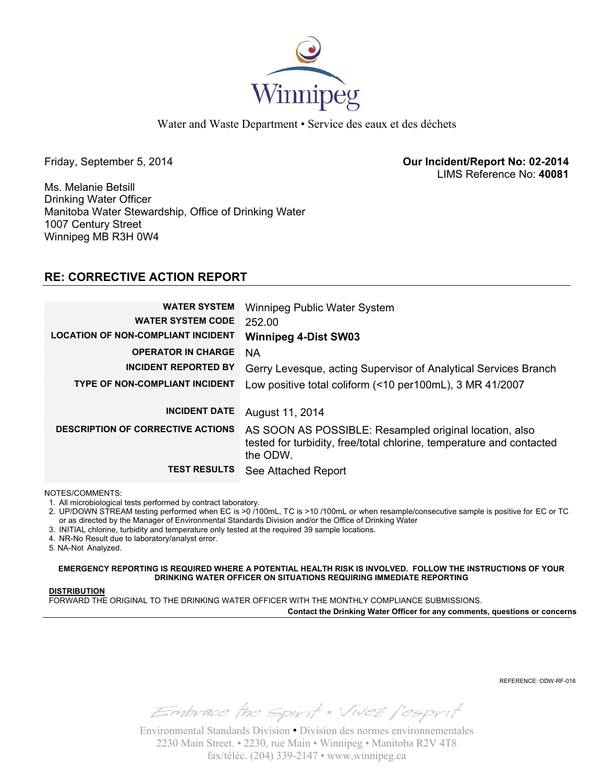

Water and Waste Department • Service des eaux et des déchets

Friday, September 5, 2014 **Our Incident/Report No: 02-2014**  LIMS Reference No: **40081**

Ms. Melanie Betsill Drinking Water Officer Manitoba Water Stewardship, Office of Drinking Water 1007 Century Street Winnipeg MB R3H 0W4

## **RE: CORRECTIVE ACTION REPORT**

| <b>WATER SYSTEM</b><br><b>WATER SYSTEM CODE</b> | Winnipeg Public Water System<br>252.00                                                                                                     |
|-------------------------------------------------|--------------------------------------------------------------------------------------------------------------------------------------------|
| <b>LOCATION OF NON-COMPLIANT INCIDENT</b>       | <b>Winnipeg 4-Dist SW03</b>                                                                                                                |
| <b>OPERATOR IN CHARGE</b>                       | <b>NA</b>                                                                                                                                  |
| <b>INCIDENT REPORTED BY</b>                     | Gerry Levesque, acting Supervisor of Analytical Services Branch                                                                            |
| <b>TYPE OF NON-COMPLIANT INCIDENT</b>           | Low positive total coliform (<10 per100mL), 3 MR 41/2007                                                                                   |
|                                                 |                                                                                                                                            |
| <b>INCIDENT DATE</b>                            | August 11, 2014                                                                                                                            |
| <b>DESCRIPTION OF CORRECTIVE ACTIONS</b>        | AS SOON AS POSSIBLE: Resampled original location, also<br>tested for turbidity, free/total chlorine, temperature and contacted<br>the ODW. |
| <b>TEST RESULTS</b>                             | See Attached Report                                                                                                                        |

NOTES/COMMENTS:

1. All microbiological tests performed by contract laboratory.

2. UP/DOWN STREAM testing performed when EC is >0 /100mL, TC is >10 /100mL or when resample/consecutive sample is positive for EC or TC or as directed by the Manager of Environmental Standards Division and/or the Office of Drinking Water

3. INITIAL chlorine, turbidity and temperature only tested at the required 39 sample locations.

4. NR-No Result due to laboratory/analyst error.

5. NA-Not Analyzed.

**EMERGENCY REPORTING IS REQUIRED WHERE A POTENTIAL HEALTH RISK IS INVOLVED. FOLLOW THE INSTRUCTIONS OF YOUR DRINKING WATER OFFICER ON SITUATIONS REQUIRING IMMEDIATE REPORTING**

#### **DISTRIBUTION**

FORWARD THE ORIGINAL TO THE DRINKING WATER OFFICER WITH THE MONTHLY COMPLIANCE SUBMISSIONS.

**Contact the Drinking Water Officer for any comments, questions or concerns**

REFERENCE: ODW-RF-016

Embrace the spirit . Vivez l'esprit

Environmental Standards Division • Division des normes environnementales 2230 Main Street. • 2230, rue Main • Winnipeg • Manitoba R2V 4T8 fax/téléc. (204) 339-2147 • www.winnipeg.ca